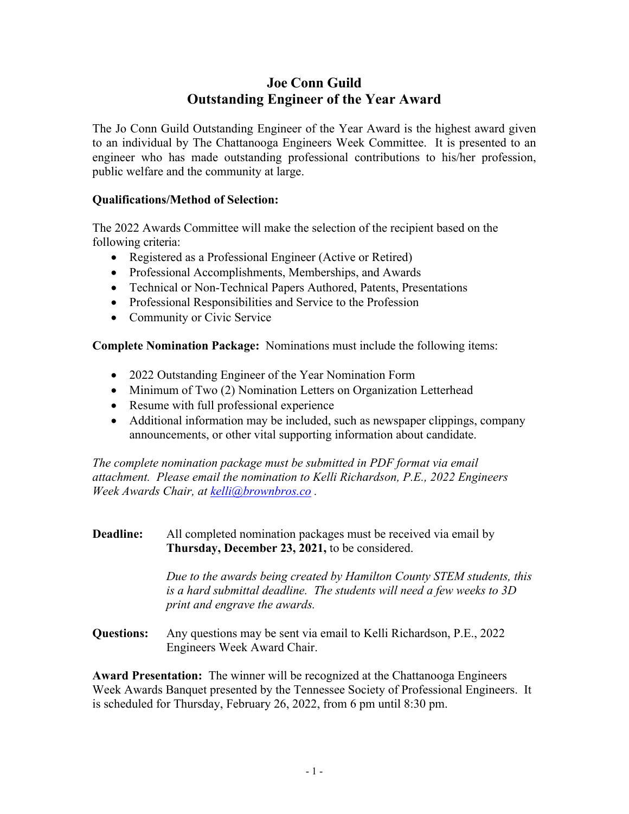# **Joe Conn Guild Outstanding Engineer of the Year Award**

The Jo Conn Guild Outstanding Engineer of the Year Award is the highest award given to an individual by The Chattanooga Engineers Week Committee. It is presented to an engineer who has made outstanding professional contributions to his/her profession, public welfare and the community at large.

### **Qualifications/Method of Selection:**

The 2022 Awards Committee will make the selection of the recipient based on the following criteria:

- Registered as a Professional Engineer (Active or Retired)
- Professional Accomplishments, Memberships, and Awards
- Technical or Non-Technical Papers Authored, Patents, Presentations
- Professional Responsibilities and Service to the Profession
- Community or Civic Service

**Complete Nomination Package:** Nominations must include the following items:

- 2022 Outstanding Engineer of the Year Nomination Form
- Minimum of Two (2) Nomination Letters on Organization Letterhead
- Resume with full professional experience
- Additional information may be included, such as newspaper clippings, company announcements, or other vital supporting information about candidate.

*The complete nomination package must be submitted in PDF format via email attachment. Please email the nomination to Kelli Richardson, P.E., 2022 Engineers Week Awards Chair, at kelli@brownbros.co .* 

### **Deadline:** All completed nomination packages must be received via email by **Thursday, December 23, 2021,** to be considered.

 *Due to the awards being created by Hamilton County STEM students, this is a hard submittal deadline. The students will need a few weeks to 3D print and engrave the awards.* 

**Questions:** Any questions may be sent via email to Kelli Richardson, P.E., 2022 Engineers Week Award Chair.

**Award Presentation:** The winner will be recognized at the Chattanooga Engineers Week Awards Banquet presented by the Tennessee Society of Professional Engineers. It is scheduled for Thursday, February 26, 2022, from 6 pm until 8:30 pm.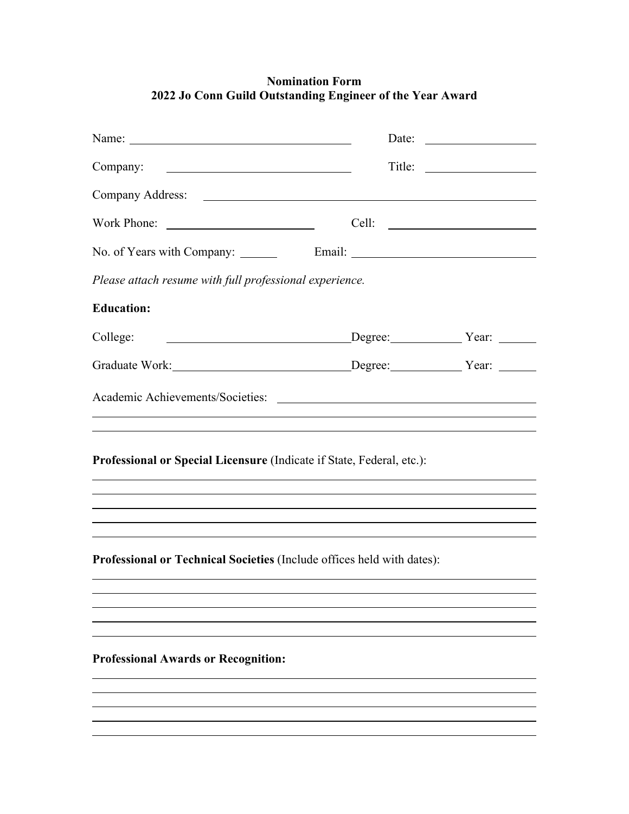## **Nomination Form 2022 Jo Conn Guild Outstanding Engineer of the Year Award**

|                                                                        | Date: $\qquad \qquad$ |  |
|------------------------------------------------------------------------|-----------------------|--|
| Company:                                                               |                       |  |
|                                                                        |                       |  |
|                                                                        |                       |  |
|                                                                        |                       |  |
| Please attach resume with full professional experience.                |                       |  |
| <b>Education:</b>                                                      |                       |  |
| College:                                                               |                       |  |
| Graduate Work: Degree: Year: Year:                                     |                       |  |
|                                                                        |                       |  |
| Professional or Special Licensure (Indicate if State, Federal, etc.):  |                       |  |
| Professional or Technical Societies (Include offices held with dates): |                       |  |
|                                                                        |                       |  |
| <b>Professional Awards or Recognition:</b>                             |                       |  |
|                                                                        |                       |  |

 $\overline{a}$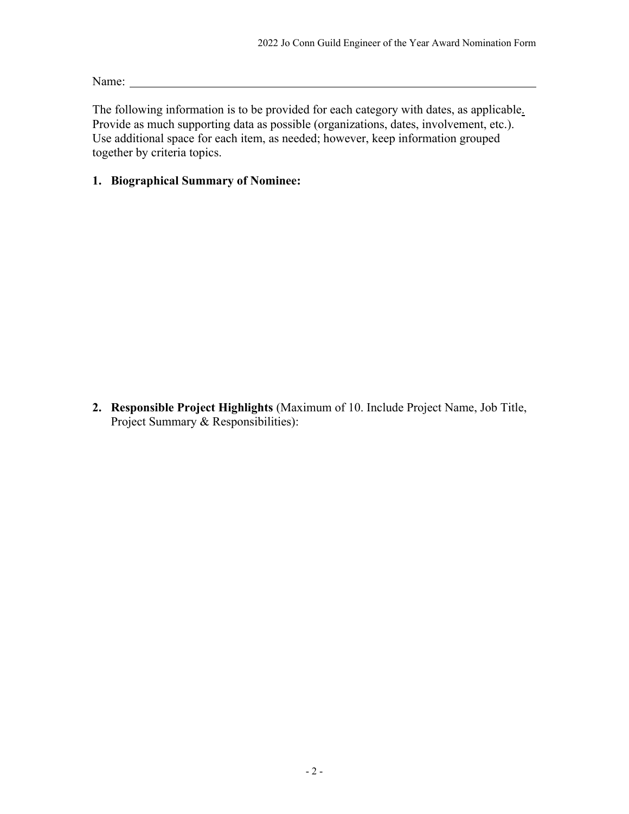Name: Name: Name and Name and Name and Name and Name and Name and Name and Name and Name and Name and Name and Name and Name and Name and Name and Name and Name and Name and Name and Name and Name and Name and Name and Nam

The following information is to be provided for each category with dates, as applicable. Provide as much supporting data as possible (organizations, dates, involvement, etc.). Use additional space for each item, as needed; however, keep information grouped together by criteria topics.

### **1. Biographical Summary of Nominee:**

**2. Responsible Project Highlights** (Maximum of 10. Include Project Name, Job Title, Project Summary & Responsibilities):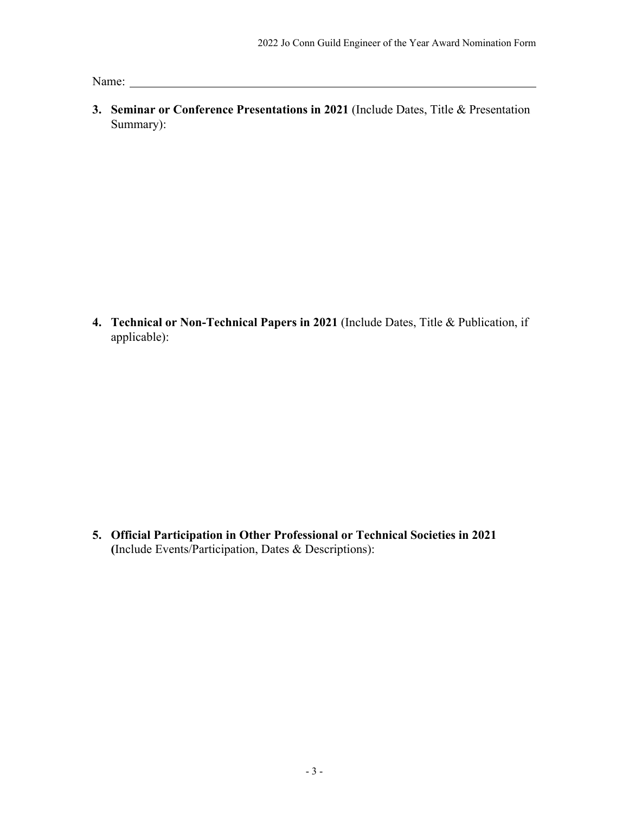Name:

**3. Seminar or Conference Presentations in 2021** (Include Dates, Title & Presentation Summary):

**4. Technical or Non-Technical Papers in 2021** (Include Dates, Title & Publication, if applicable):

**5. Official Participation in Other Professional or Technical Societies in 2021 (**Include Events/Participation, Dates & Descriptions):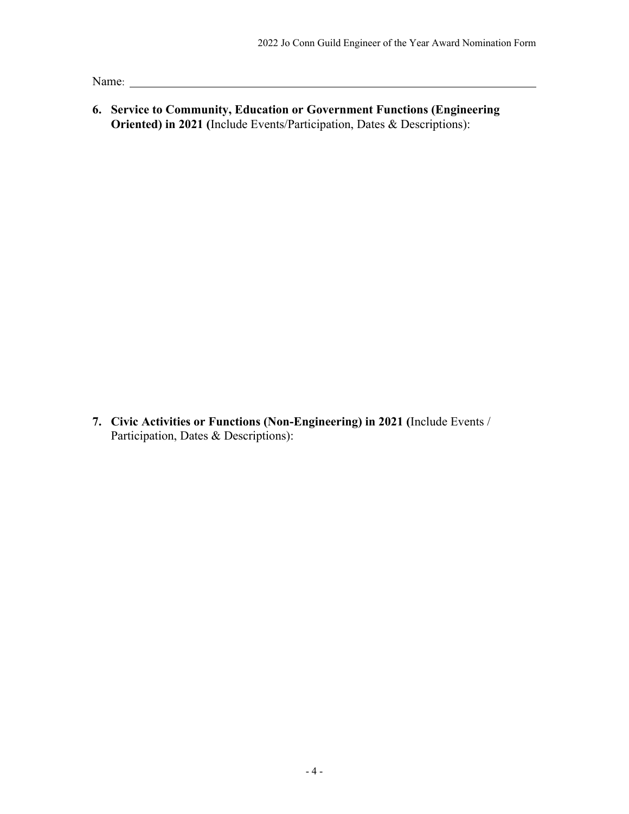Name: Name: Name: Name: Name: Name: Name: Name: Name: Name: Name: Name: Name: Name: Name: Name: Name: Name: Name: Name: Name: Name: Name: Name: Name: Name: Name: Name: Name: Name: Name: Name: Name: Name: Name: Name: Name:

**6. Service to Community, Education or Government Functions (Engineering Oriented) in 2021 (**Include Events/Participation, Dates & Descriptions):

**7. Civic Activities or Functions (Non-Engineering) in 2021 (**Include Events / Participation, Dates & Descriptions):